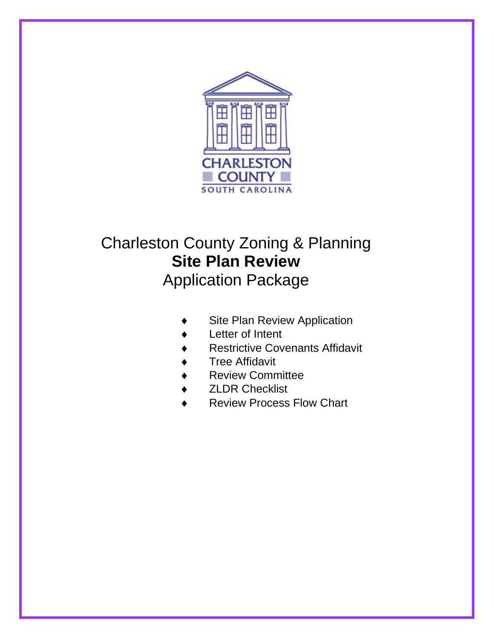

# Charleston County Zoning & Planning **Site Plan Review** Application Package

- Site Plan Review Application
- Letter of Intent
- Restrictive Covenants Affidavit
- Tree Affidavit
- Review Committee
- ZLDR Checklist
- Review Process Flow Chart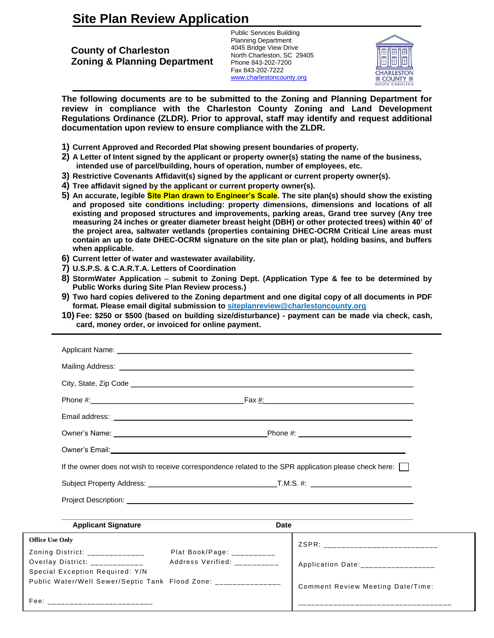## **Site Plan Review Application**

**County of Charleston Zoning & Planning Department** Public Services Building Planning Department 4045 Bridge View Drive North Charleston, SC 29405 Phone 843-202-7200 Fax 843-202-7222 [www.charlestoncounty.org](http://www.charlestoncounty.org/)



**The following documents are to be submitted to the Zoning and Planning Department for review in compliance with the Charleston County Zoning and Land Development Regulations Ordinance (ZLDR). Prior to approval, staff may identify and request additional documentation upon review to ensure compliance with the ZLDR.** 

- **1) Current Approved and Recorded Plat showing present boundaries of property.**
- **2) A Letter of Intent signed by the applicant or property owner(s) stating the name of the business, intended use of parcel/building, hours of operation, number of employees, etc.**
- **3) Restrictive Covenants Affidavit(s) signed by the applicant or current property owner(s).**
- **4) Tree affidavit signed by the applicant or current property owner(s).**
- **5) An accurate, legible Site Plan drawn to Engineer's Scale. The site plan(s) should show the existing and proposed site conditions including: property dimensions, dimensions and locations of all existing and proposed structures and improvements, parking areas, Grand tree survey (Any tree measuring 24 inches or greater diameter breast height (DBH) or other protected trees) within 40' of the project area, saltwater wetlands (properties containing DHEC-OCRM Critical Line areas must contain an up to date DHEC-OCRM signature on the site plan or plat), holding basins, and buffers when applicable.**
- **6) Current letter of water and wastewater availability.**
- **7) U.S.P.S. & C.A.R.T.A. Letters of Coordination**

Public Water/Well Sewer/Septic Tank Flood Zone:

1

 $\mathsf{F} \mathsf{e} \mathsf{e}$ :

- **8) StormWater Application submit to Zoning Dept. (Application Type & fee to be determined by Public Works during Site Plan Review process.)**
- **9) Two hard copies delivered to the Zoning department and one digital copy of all documents in PDF format. Please email digital submission to [siteplanreview@charlestoncounty.org](mailto:siteplanreview@charlestoncounty.org)**
- **10) Fee: \$250 or \$500 (based on building size/disturbance) - payment can be made via check, cash, card, money order, or invoiced for online payment.**

|                                 | Owner's Email: <u>Communication</u> Communication of the Communication of the Communication of the Communication of the Communication of the Communication of the Communication of the Communication of the Communication of the Co |      |                                    |
|---------------------------------|-------------------------------------------------------------------------------------------------------------------------------------------------------------------------------------------------------------------------------------|------|------------------------------------|
|                                 | If the owner does not wish to receive correspondence related to the SPR application please check here:                                                                                                                              |      |                                    |
|                                 |                                                                                                                                                                                                                                     |      |                                    |
|                                 |                                                                                                                                                                                                                                     |      |                                    |
| <b>Applicant Signature</b>      |                                                                                                                                                                                                                                     | Date |                                    |
| <b>Office Use Only</b>          |                                                                                                                                                                                                                                     |      | ZSPR: ___________________________  |
| Zoning District: _____________  | Plat Book/Page: $\frac{1}{2}$                                                                                                                                                                                                       |      |                                    |
| Overlay District: $\frac{1}{2}$ | Address Verified: __________                                                                                                                                                                                                        |      | Application Date:_________________ |
| Special Exception Required: Y/N |                                                                                                                                                                                                                                     |      |                                    |

\_\_\_\_\_\_\_\_\_\_\_\_\_\_\_\_\_\_\_\_\_\_\_\_\_\_\_\_\_\_\_\_\_\_\_

Comment Review Meeting Date/Time: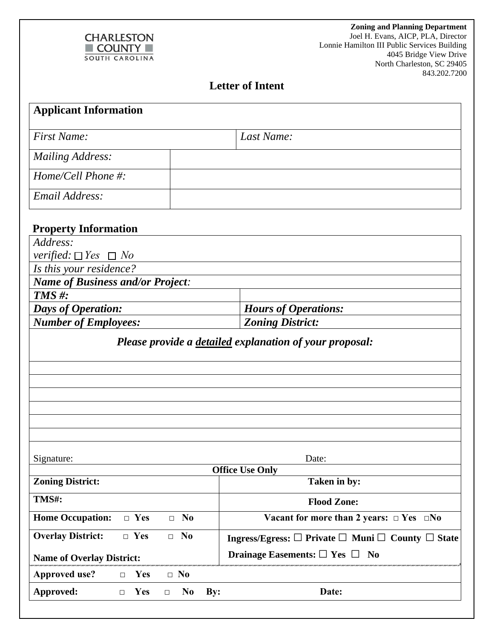

 **Zoning and Planning Department**  Joel H. Evans, AICP, PLA, Director Lonnie Hamilton III Public Services Building 4045 Bridge View Drive North Charleston, SC 29405 843.202.7200

### **Letter of Intent**

| <b>Applicant Information</b>                            |                                                                                   |  |  |
|---------------------------------------------------------|-----------------------------------------------------------------------------------|--|--|
|                                                         |                                                                                   |  |  |
| <b>First Name:</b>                                      | Last Name:                                                                        |  |  |
| <b>Mailing Address:</b>                                 |                                                                                   |  |  |
| Home/Cell Phone #:                                      |                                                                                   |  |  |
| Email Address:                                          |                                                                                   |  |  |
|                                                         |                                                                                   |  |  |
| <b>Property Information</b>                             |                                                                                   |  |  |
| Address:                                                |                                                                                   |  |  |
| <i>verified:</i> $\Box$ <i>Yes</i> $\Box$ <i>No</i>     |                                                                                   |  |  |
| Is this your residence?                                 |                                                                                   |  |  |
| <b>Name of Business and/or Project:</b>                 |                                                                                   |  |  |
| $TMS \#$ :                                              |                                                                                   |  |  |
| <b>Days of Operation:</b>                               | <b>Hours of Operations:</b>                                                       |  |  |
| <b>Number of Employees:</b><br><b>Zoning District:</b>  |                                                                                   |  |  |
| Please provide a detailed explanation of your proposal: |                                                                                   |  |  |
|                                                         |                                                                                   |  |  |
|                                                         |                                                                                   |  |  |
|                                                         |                                                                                   |  |  |
|                                                         |                                                                                   |  |  |
|                                                         |                                                                                   |  |  |
|                                                         |                                                                                   |  |  |
|                                                         |                                                                                   |  |  |
| Signature:<br>Date:<br><b>Office Use Only</b>           |                                                                                   |  |  |
| <b>Zoning District:</b><br>Taken in by:                 |                                                                                   |  |  |
| TMS#:                                                   | <b>Flood Zone:</b>                                                                |  |  |
| $\Box$ Yes<br>$\Box$ No<br><b>Home Occupation:</b>      | Vacant for more than 2 years: $\Box$ Yes $\Box$ No                                |  |  |
| $\Box$ Yes<br><b>Overlay District:</b><br>$\Box$ No     | Ingress/Egress: $\square$ Private $\square$ Muni $\square$ County $\square$ State |  |  |
| <b>Name of Overlay District:</b>                        | Drainage Easements: $\Box$ Yes $\Box$ No                                          |  |  |
| <b>Approved use?</b><br>$\Box$ No<br>Yes<br>$\Box$      |                                                                                   |  |  |
| Approved:<br>Yes<br>N <sub>0</sub><br>$\Box$<br>$\Box$  | By:<br>Date:                                                                      |  |  |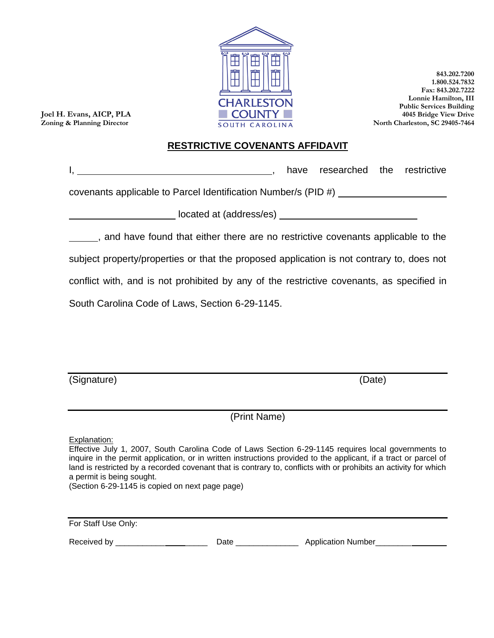

**Joel H. Evans, AICP, PLA Zoning & Planning Director**

#### **843.202.7200 1.800.524.7832 Fax: 843.202.7222 Lonnie Hamilton, III Public Services Building 4045 Bridge View Drive North Charleston, SC 29405-7464**

### **RESTRICTIVE COVENANTS AFFIDAVIT**

|  | have researched the restrictive |  |
|--|---------------------------------|--|
|  |                                 |  |

covenants applicable to Parcel Identification Number/s (PID #)

\_\_\_\_\_ located at (address/es)

, and have found that either there are no restrictive covenants applicable to the subject property/properties or that the proposed application is not contrary to, does not conflict with, and is not prohibited by any of the restrictive covenants, as specified in South Carolina Code of Laws, Section 6-29-1145.

(Signature) (Date)

(Print Name)

Explanation:

Effective July 1, 2007, South Carolina Code of Laws Section 6-29-1145 requires local governments to inquire in the permit application, or in written instructions provided to the applicant, if a tract or parcel of land is restricted by a recorded covenant that is contrary to, conflicts with or prohibits an activity for which a permit is being sought.

(Section 6-29-1145 is copied on next page page)

| For Staff Use Only: |      |                           |
|---------------------|------|---------------------------|
| Received by         | Date | <b>Application Number</b> |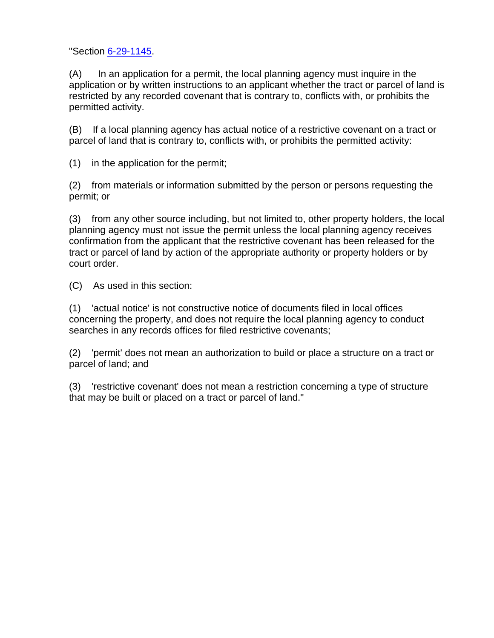"Section [6-29-1145.](http://www.scstatehouse.net/code/t06c029.htm#6-29-1145)

(A) In an application for a permit, the local planning agency must inquire in the application or by written instructions to an applicant whether the tract or parcel of land is restricted by any recorded covenant that is contrary to, conflicts with, or prohibits the permitted activity.

(B) If a local planning agency has actual notice of a restrictive covenant on a tract or parcel of land that is contrary to, conflicts with, or prohibits the permitted activity:

(1) in the application for the permit;

(2) from materials or information submitted by the person or persons requesting the permit; or

(3) from any other source including, but not limited to, other property holders, the local planning agency must not issue the permit unless the local planning agency receives confirmation from the applicant that the restrictive covenant has been released for the tract or parcel of land by action of the appropriate authority or property holders or by court order.

(C) As used in this section:

(1) 'actual notice' is not constructive notice of documents filed in local offices concerning the property, and does not require the local planning agency to conduct searches in any records offices for filed restrictive covenants;

(2) 'permit' does not mean an authorization to build or place a structure on a tract or parcel of land; and

(3) 'restrictive covenant' does not mean a restriction concerning a type of structure that may be built or placed on a tract or parcel of land."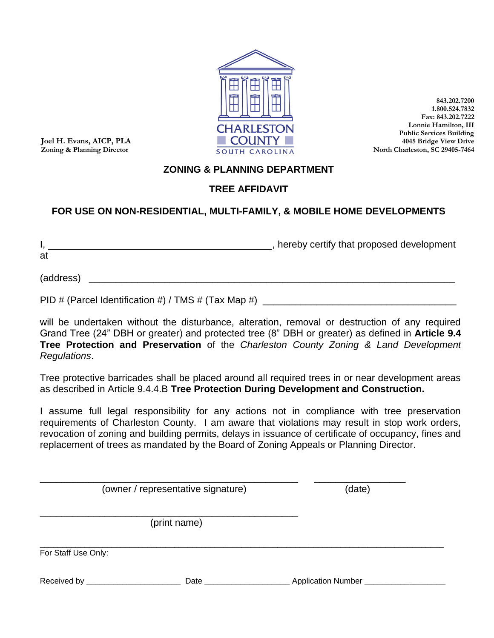

**Joel H. Evans, AICP, PLA Zoning & Planning Director**

**843.202.7200 1.800.524.7832 Fax: 843.202.7222 Lonnie Hamilton, III Public Services Building 4045 Bridge View Drive North Charleston, SC 29405-7464**

### **ZONING & PLANNING DEPARTMENT**

### **TREE AFFIDAVIT**

### **FOR USE ON NON-RESIDENTIAL, MULTI-FAMILY, & MOBILE HOME DEVELOPMENTS**

I, thereby certify that proposed development at

 $(address)$   $\qquad \qquad$ 

PID # (Parcel Identification #) / TMS # (Tax Map #) \_\_\_\_\_\_\_\_\_\_\_\_\_\_\_\_\_\_\_\_\_\_\_\_\_\_\_\_

will be undertaken without the disturbance, alteration, removal or destruction of any required Grand Tree (24" DBH or greater) and protected tree (8" DBH or greater) as defined in **Article 9.4 Tree Protection and Preservation** of the *Charleston County Zoning & Land Development Regulations*.

Tree protective barricades shall be placed around all required trees in or near development areas as described in Article 9.4.4.B **Tree Protection During Development and Construction.**

I assume full legal responsibility for any actions not in compliance with tree preservation requirements of Charleston County. I am aware that violations may result in stop work orders, revocation of zoning and building permits, delays in issuance of certificate of occupancy, fines and replacement of trees as mandated by the Board of Zoning Appeals or Planning Director.

\_\_\_\_\_\_\_\_\_\_\_\_\_\_\_\_\_\_\_\_\_\_\_\_\_\_\_\_\_\_\_\_\_\_\_\_\_\_\_\_\_\_\_\_\_\_\_\_ \_\_\_\_\_\_\_\_\_\_\_\_\_\_\_\_\_ (owner / representative signature) (date)

\_\_\_\_\_\_\_\_\_\_\_\_\_\_\_\_\_\_\_\_\_\_\_\_\_\_\_\_\_\_\_\_\_\_\_\_\_\_\_\_\_\_\_\_\_\_\_\_ (print name)

\_\_\_\_\_\_\_\_\_\_\_\_\_\_\_\_\_\_\_\_\_\_\_\_\_\_\_\_\_\_\_\_\_\_\_\_\_\_\_\_\_\_\_\_\_\_\_\_\_\_\_\_\_\_\_\_\_\_\_\_\_\_\_\_\_\_\_\_\_\_\_\_\_\_\_\_\_\_\_\_\_\_\_\_\_\_\_\_\_\_ For Staff Use Only:

Received by \_\_\_\_\_\_\_\_\_\_\_\_\_\_\_\_\_\_\_\_\_ Date \_\_\_\_\_\_\_\_\_\_\_\_\_\_\_\_\_\_\_ Application Number \_\_\_\_\_\_\_\_\_\_\_\_\_\_\_\_\_\_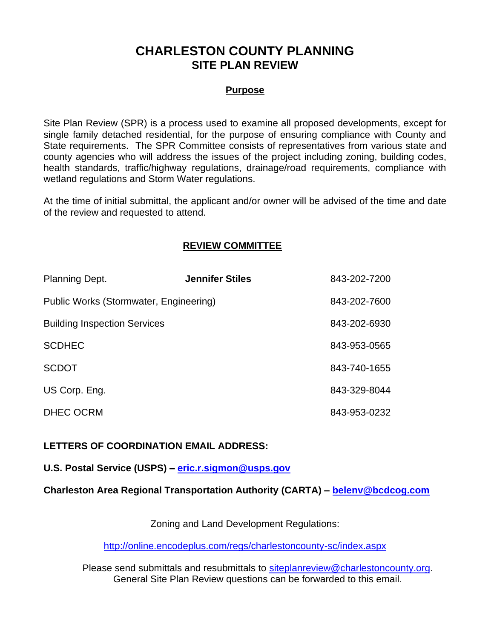## **CHARLESTON COUNTY PLANNING SITE PLAN REVIEW**

#### **Purpose**

Site Plan Review (SPR) is a process used to examine all proposed developments, except for single family detached residential, for the purpose of ensuring compliance with County and State requirements. The SPR Committee consists of representatives from various state and county agencies who will address the issues of the project including zoning, building codes, health standards, traffic/highway regulations, drainage/road requirements, compliance with wetland regulations and Storm Water regulations.

At the time of initial submittal, the applicant and/or owner will be advised of the time and date of the review and requested to attend.

### **REVIEW COMMITTEE**

| <b>Planning Dept.</b>                  | <b>Jennifer Stiles</b> | 843-202-7200 |
|----------------------------------------|------------------------|--------------|
| Public Works (Stormwater, Engineering) |                        | 843-202-7600 |
| <b>Building Inspection Services</b>    |                        | 843-202-6930 |
| <b>SCDHEC</b>                          |                        | 843-953-0565 |
| <b>SCDOT</b>                           |                        | 843-740-1655 |
| US Corp. Eng.                          |                        | 843-329-8044 |
| <b>DHEC OCRM</b>                       |                        | 843-953-0232 |

**LETTERS OF COORDINATION EMAIL ADDRESS:**

**U.S. Postal Service (USPS) – [eric.r.sigmon@usps.gov](mailto:eric.r.sigmon@usps.gov)**

**Charleston Area Regional Transportation Authority (CARTA) – [belenv@bcdcog.com](mailto:belenv@bcdcog.com)**

Zoning and Land Development Regulations:

<http://online.encodeplus.com/regs/charlestoncounty-sc/index.aspx>

Please send submittals and resubmittals to [siteplanreview@charlestoncounty.org.](mailto:siteplanreview@charlestoncounty.org) General Site Plan Review questions can be forwarded to this email.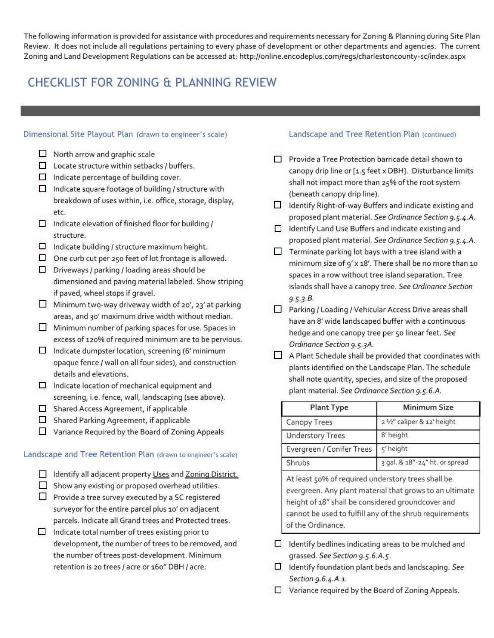The following information is provided for assistance with procedures and requirements necessary for Zoning & Planning during Site Plan Review. It does not include all regulations pertaining to every phase of development or other departments and agencies. The current Zoning and Land Development Regulations can be accessed at: http://online.encodeplus.com/regs/charlestoncounty-sc/index.aspx

## CHECKLIST FOR ZONING & PLANNING REVIEW

#### Dimensional Site Playout Plan (drawn to engineer's scale)

- $\Box$  North arrow and graphic scale
- $\Box$  Locate structure within setbacks / buffers.
- $\Box$  Indicate percentage of building cover.
- $\Box$  Indicate square footage of building / structure with breakdown of uses within, i.e. office, storage, display, etc.
- $\Box$  Indicate elevation of finished floor for building / structure.
- $\Box$  Indicate building / structure maximum height.
- $\Box$  One curb cut per 250 feet of lot frontage is allowed.
- $\Box$  Driveways / parking / loading areas should be dimensioned and paving material labeled. Show striping if paved, wheel stops if gravel.
- Minimum two-way driveway width of 20', 23' at parking areas, and 30' maximum drive width without median.
- Minimum number of parking spaces for use. Spaces in excess of 120% of required minimum are to be pervious.
- $\Box$  Indicate dumpster location, screening (6' minimum opaque fence / wall on all four sides), and construction details and elevations.
- $\Box$  Indicate location of mechanical equipment and screening, i.e. fence, wall, landscaping (see above).
- Shared Access Agreement, if applicable
- Shared Parking Agreement, if applicable
- Variance Required by the Board of Zoning Appeals

#### Landscape and Tree Retention Plan (drawn to engineer's scale)

| Identify all adjacent property Uses and Zoning District. |  |
|----------------------------------------------------------|--|
|----------------------------------------------------------|--|

- Show any existing or proposed overhead utilities.
- Provide a tree survey executed by a SC registered surveyor for the entire parcel plus 10' on adjacent parcels. Indicate all Grand trees and Protected trees.
- $\Box$  Indicate total number of trees existing prior to development, the number of trees to be removed, and the number of trees post-development. Minimum retention is 20 trees / acre or 160" DBH / acre.

#### Landscape and Tree Retention Plan (continued)

- Provide a Tree Protection barricade detail shown to canopy drip line or [1.5 feet x DBH]. Disturbance limits shall not impact more than 25% of the root system (beneath canopy drip line).
- Identify Right-of-way Buffers and indicate existing and proposed plant material. See Ordinance Section 9.5.4.A.
- □ Identify Land Use Buffers and indicate existing and proposed plant material. See Ordinance Section 9.5.4.A.
- $\Box$  Terminate parking lot bays with a tree island with a minimum size of 9' x 18'. There shall be no more than 10 spaces in a row without tree island separation. Tree islands shall have a canopy tree. See Ordinance Section  $9.5.3.B.$
- □ Parking / Loading / Vehicular Access Drive areas shall have an 8' wide landscaped buffer with a continuous hedge and one canopy tree per 50 linear feet. See Ordinance Section 9.5.3A.
- A Plant Schedule shall be provided that coordinates with plants identified on the Landscape Plan. The schedule shall note quantity, species, and size of the proposed plant material. See Ordinance Section 9.5.6.A.

| <b>Plant Type</b>         | <b>Minimum Size</b>            |  |
|---------------------------|--------------------------------|--|
| <b>Canopy Trees</b>       | 2 1/2" caliper & 12' height    |  |
| <b>Understory Trees</b>   | 8' height                      |  |
| Evergreen / Conifer Trees | 5' height                      |  |
| Shrubs                    | 3 gal. & 18"-24" ht. or spread |  |

At least 50% of required understory trees shall be evergreen. Any plant material that grows to an ultimate height of 18" shall be considered groundcover and cannot be used to fulfill any of the shrub requirements of the Ordinance.

- $\Box$  Identify bedlines indicating areas to be mulched and grassed. See Section 9.5.6.A.5.
- $\Box$  Identify foundation plant beds and landscaping. See Section 9.6.4.A.1.
- $\Box$  Variance required by the Board of Zoning Appeals.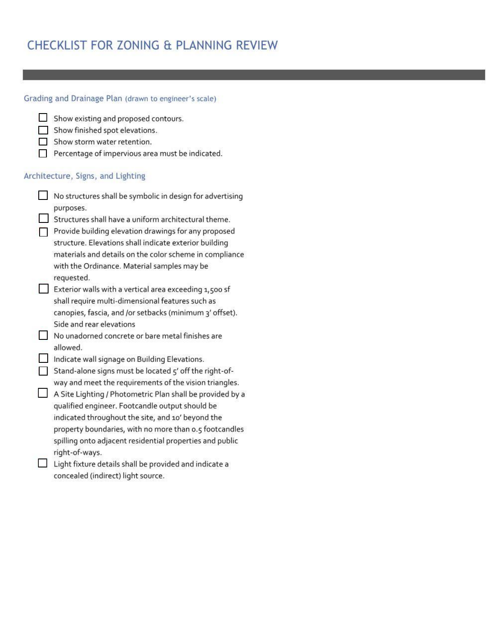## CHECKLIST FOR ZONING & PLANNING REVIEW

| Grading and Drainage Plan (drawn to engineer's scale)                                                      |
|------------------------------------------------------------------------------------------------------------|
| Show existing and proposed contours.                                                                       |
| Show finished spot elevations.                                                                             |
| Show storm water retention.                                                                                |
| Percentage of impervious area must be indicated.                                                           |
| Architecture, Signs, and Lighting                                                                          |
| No structures shall be symbolic in design for advertising                                                  |
| purposes.                                                                                                  |
| Structures shall have a uniform architectural theme.                                                       |
| Provide building elevation drawings for any proposed                                                       |
| structure. Elevations shall indicate exterior building                                                     |
| materials and details on the color scheme in compliance                                                    |
| with the Ordinance. Material samples may be                                                                |
| requested.                                                                                                 |
| Exterior walls with a vertical area exceeding 1,500 sf<br>shall require multi-dimensional features such as |
| canopies, fascia, and /or setbacks (minimum 3' offset).                                                    |
| Side and rear elevations                                                                                   |
| No unadorned concrete or bare metal finishes are                                                           |
| allowed.                                                                                                   |
| Indicate wall signage on Building Elevations.                                                              |
| Stand-alone signs must be located 5' off the right-of-                                                     |
| way and meet the requirements of the vision triangles.                                                     |
| A Site Lighting / Photometric Plan shall be provided by a                                                  |
| qualified engineer. Footcandle output should be                                                            |
| indicated throughout the site, and 10' beyond the                                                          |
| property boundaries, with no more than 0.5 footcandles                                                     |
| spilling onto adjacent residential properties and public                                                   |
| right-of-ways.                                                                                             |
| Light fixture details shall be provided and indicate a                                                     |
| concealed (indirect) light source.                                                                         |